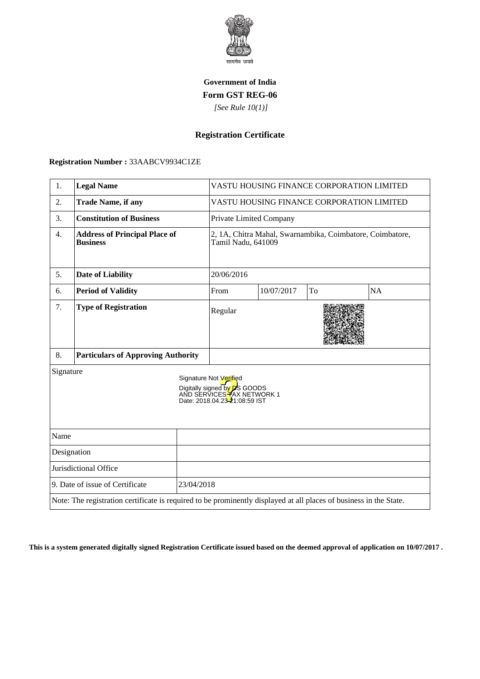

## **Government of India Form GST REG-06**

 *[See Rule 10(1)]*

# **Registration Certificate**

#### **Registration Number :** 33AABCV9934C1ZE

| 1.                                                                                                                 | <b>Legal Name</b>                                       |                                                                                                                               | VASTU HOUSING FINANCE CORPORATION LIMITED                                       |            |    |           |
|--------------------------------------------------------------------------------------------------------------------|---------------------------------------------------------|-------------------------------------------------------------------------------------------------------------------------------|---------------------------------------------------------------------------------|------------|----|-----------|
| 2.                                                                                                                 | <b>Trade Name, if any</b>                               |                                                                                                                               | VASTU HOUSING FINANCE CORPORATION LIMITED                                       |            |    |           |
| 3.                                                                                                                 | <b>Constitution of Business</b>                         |                                                                                                                               | Private Limited Company                                                         |            |    |           |
| 4.                                                                                                                 | <b>Address of Principal Place of</b><br><b>Business</b> |                                                                                                                               | 2, 1A, Chitra Mahal, Swarnambika, Coimbatore, Coimbatore,<br>Tamil Nadu, 641009 |            |    |           |
| 5.                                                                                                                 | <b>Date of Liability</b>                                |                                                                                                                               | 20/06/2016                                                                      |            |    |           |
| 6.                                                                                                                 | <b>Period of Validity</b>                               |                                                                                                                               | From                                                                            | 10/07/2017 | To | <b>NA</b> |
| 7.                                                                                                                 | <b>Type of Registration</b>                             |                                                                                                                               | Regular                                                                         |            |    |           |
| 8.                                                                                                                 | <b>Particulars of Approving Authority</b>               |                                                                                                                               |                                                                                 |            |    |           |
| Signature                                                                                                          |                                                         | Signature Not Verified<br>Digitally signed by <b>D</b> S GOODS<br>AND SERVICES HAX NETWORK 1<br>Date: 2018.04.23-21:08:59 IST |                                                                                 |            |    |           |
| Name                                                                                                               |                                                         |                                                                                                                               |                                                                                 |            |    |           |
| Designation                                                                                                        |                                                         |                                                                                                                               |                                                                                 |            |    |           |
| Jurisdictional Office                                                                                              |                                                         |                                                                                                                               |                                                                                 |            |    |           |
| 9. Date of issue of Certificate<br>23/04/2018                                                                      |                                                         |                                                                                                                               |                                                                                 |            |    |           |
| Note: The registration certificate is required to be prominently displayed at all places of business in the State. |                                                         |                                                                                                                               |                                                                                 |            |    |           |

**This is a system generated digitally signed Registration Certificate issued based on the deemed approval of application on 10/07/2017 .**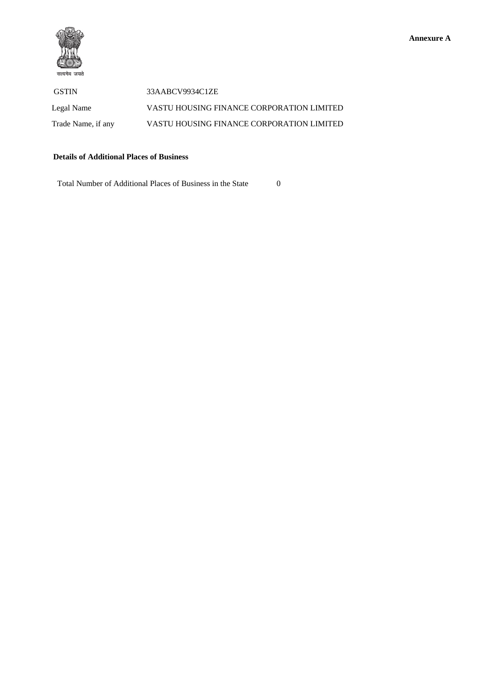



GSTIN 33AABCV9934C1ZE Legal Name VASTU HOUSING FINANCE CORPORATION LIMITED Trade Name, if any VASTU HOUSING FINANCE CORPORATION LIMITED

### **Details of Additional Places of Business**

Total Number of Additional Places of Business in the State 0